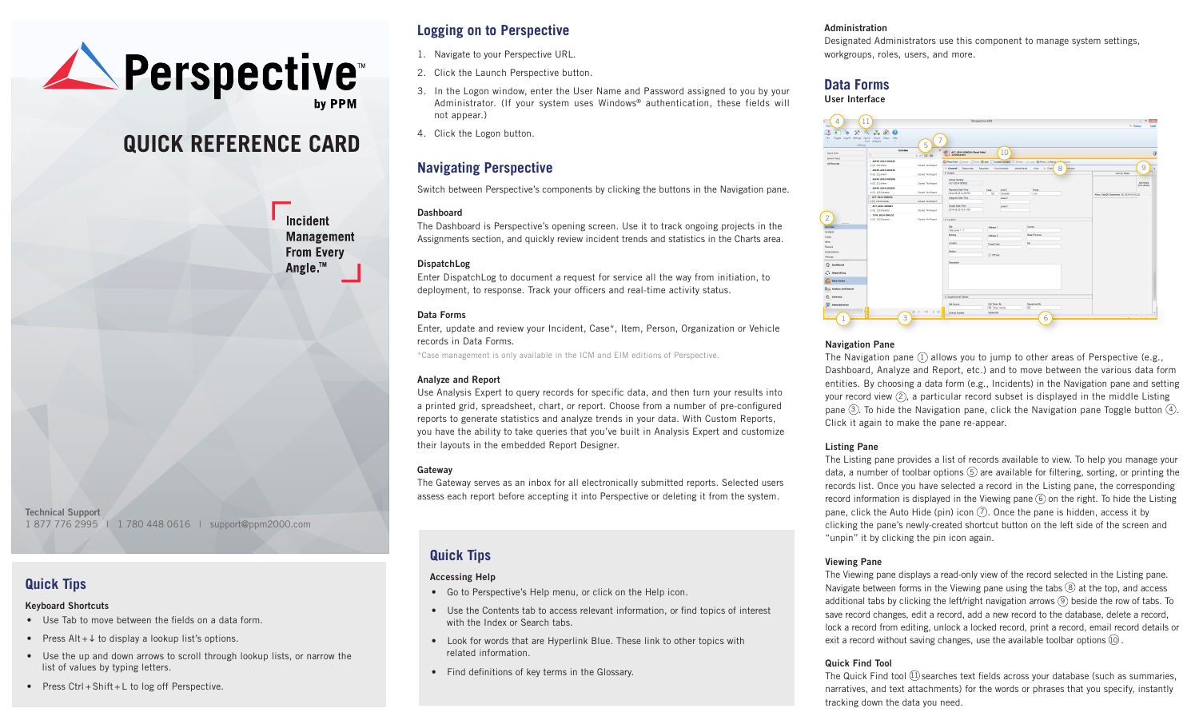

# **QUICK REFERENCE CARD**

Incident **Management From Every** Angle.<sup>™</sup>

**Technical Support** 1 877 776 2995 | 1 780 448 0616 | support@ppm2000.com

### **Quick Tips**

#### **Keyboard Shortcuts**

- Use Tab to move between the fields on a data form.
- Press  $Alt + \downarrow$  to display a lookup list's options.
- Use the up and down arrows to scroll through lookup lists, or narrow the list of values by typing letters.
- Press Ctrl + Shift + L to log off Perspective.

### **Logging on to Perspective**

- 1. Navigate to your Perspective URL.
- 2. Click the Launch Perspective button.
- 3. In the Logon window, enter the User Name and Password assigned to you by your Administrator. (If your system uses Windows® authentication, these fields will not appear.)
- 4. Click the Logon button.

### **Navigating Perspective**

Switch between Perspective's components by clicking the buttons in the Navigation pane.

#### **Dashboard**

The Dashboard is Perspective's opening screen. Use it to track ongoing projects in the Assignments section, and quickly review incident trends and statistics in the Charts area.

#### **DispatchLog**

Enter DispatchLog to document a request for service all the way from initiation, to deployment, to response. Track your officers and real-time activity status.

#### **Data Forms**

Enter, update and review your Incident, Case\*, Item, Person, Organization or Vehicle records in Data Forms.

\*Case management is only available in the ICM and EIM editions of Perspective.

#### **Analyze and Report**

Use Analysis Expert to query records for specific data, and then turn your results into a printed grid, spreadsheet, chart, or report. Choose from a number of pre-configured reports to generate statistics and analyze trends in your data. With Custom Reports, you have the ability to take queries that you've built in Analysis Expert and customize their layouts in the embedded Report Designer.

#### **Gateway**

The Gateway serves as an inbox for all electronically submitted reports. Selected users assess each report before accepting it into Perspective or deleting it from the system.

## **Quick Tips**

#### **Accessing Help**

- Go to Perspective's Help menu, or click on the Help icon.
- Use the Contents tab to access relevant information, or find topics of interest with the Index or Search tabs.
- Look for words that are Hyperlink Blue. These link to other topics with related information.
- Find definitions of key terms in the Glossary.

### **Administration**

Designated Administrators use this component to manage system settings, workgroups, roles, users, and more.

### **Data Forms**

#### **User Interface**



#### **Navigation Pane**

The Navigation pane  $(1)$  allows you to jump to other areas of Perspective (e.g., Dashboard, Analyze and Report, etc.) and to move between the various data form entities. By choosing a data form (e.g., Incidents) in the Navigation pane and setting your record view  $(2)$ , a particular record subset is displayed in the middle Listing pane  $(3)$ . To hide the Navigation pane, click the Navigation pane Toggle button  $(4)$ . Click it again to make the pane re-appear.

#### **Listing Pane**

The Listing pane provides a list of records available to view. To help you manage your data, a number of toolbar options  $\circled{5}$  are available for filtering, sorting, or printing the records list. Once you have selected a record in the Listing pane, the corresponding record information is displayed in the Viewing pane  $(6)$  on the right. To hide the Listing pane, click the Auto Hide (pin) icon  $(7)$ . Once the pane is hidden, access it by clicking the pane's newly-created shortcut button on the left side of the screen and "unpin" it by clicking the pin icon again.

#### **Viewing Pane**

The Viewing pane displays a read-only view of the record selected in the Listing pane. Navigate between forms in the Viewing pane using the tabs  $\circledR$  at the top, and access additional tabs by clicking the left/right navigation arrows  $(9)$  beside the row of tabs. To save record changes, edit a record, add a new record to the database, delete a record, lock a record from editing, unlock a locked record, print a record, email record details or exit a record without saving changes, use the available toolbar options  $(10)$ .

#### **Quick Find Tool**

The Quick Find tool  $(1)$  searches text fields across your database (such as summaries, narratives, and text attachments) for the words or phrases that you specify, instantly tracking down the data you need.